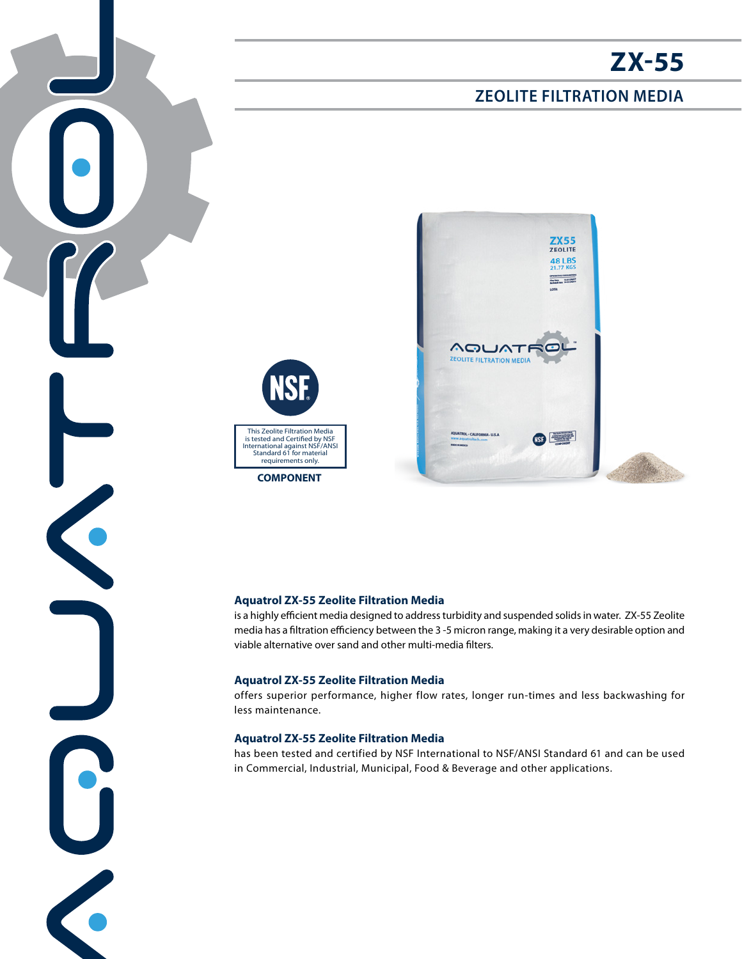# **ZX-55**

### **ZEOLITE FILTRATION MEDIA**





 $\left| \bullet \right|$ 

 $\blacksquare$ 

CO

**COMPONENT**

#### **Aquatrol ZX-55 Zeolite Filtration Media**

is a highly efficient media designed to address turbidity and suspended solids in water. ZX-55 Zeolite media has a filtration efficiency between the 3 -5 micron range, making it a very desirable option and viable alternative over sand and other multi-media filters.

#### **Aquatrol ZX-55 Zeolite Filtration Media**

offers superior performance, higher flow rates, longer run-times and less backwashing for less maintenance.

#### **Aquatrol ZX-55 Zeolite Filtration Media**

has been tested and certified by NSF International to NSF/ANSI Standard 61 and can be used in Commercial, Industrial, Municipal, Food & Beverage and other applications.